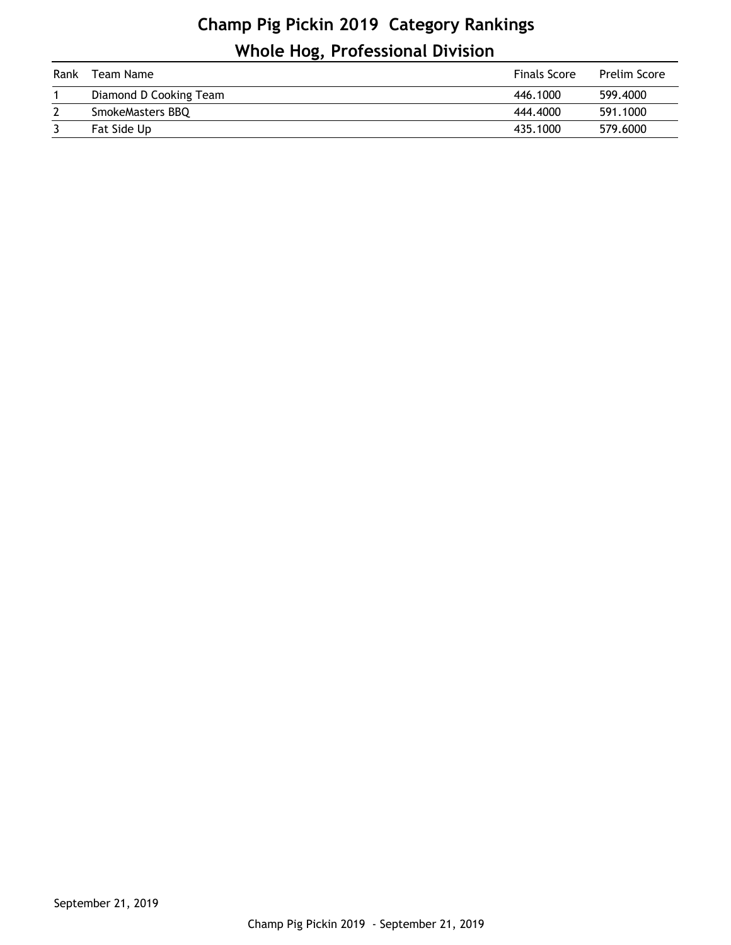## **Champ Pig Pickin 2019 Category Rankings Whole Hog, Professional Division**

| Rank | Team Name              | <b>Finals Score</b> | <b>Prelim Score</b> |
|------|------------------------|---------------------|---------------------|
|      | Diamond D Cooking Team | 446,1000            | 599,4000            |
|      | SmokeMasters BBQ       | 444,4000            | 591.1000            |
|      | Fat Side Up            | 435.1000            | 579.6000            |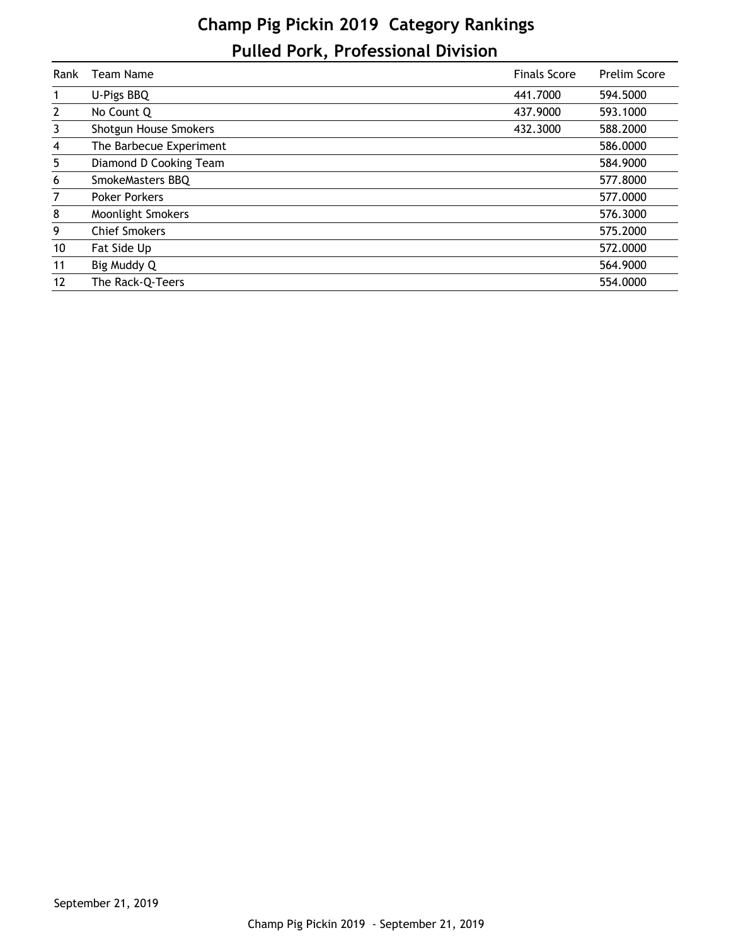## **Champ Pig Pickin 2019 Category Rankings Pulled Pork, Professional Division**

| Rank         | Team Name                | <b>Finals Score</b> | Prelim Score |
|--------------|--------------------------|---------------------|--------------|
| 1            | U-Pigs BBQ               | 441,7000            | 594.5000     |
| $\mathbf{2}$ | No Count Q               | 437.9000            | 593.1000     |
| 3            | Shotgun House Smokers    | 432.3000            | 588.2000     |
| 4            | The Barbecue Experiment  |                     | 586.0000     |
| 5            | Diamond D Cooking Team   |                     | 584.9000     |
| 6            | SmokeMasters BBQ         |                     | 577.8000     |
| 7            | <b>Poker Porkers</b>     |                     | 577.0000     |
| 8            | <b>Moonlight Smokers</b> |                     | 576.3000     |
| 9            | <b>Chief Smokers</b>     |                     | 575.2000     |
| 10           | Fat Side Up              |                     | 572.0000     |
| 11           | Big Muddy Q              |                     | 564.9000     |
| 12           | The Rack-Q-Teers         |                     | 554.0000     |